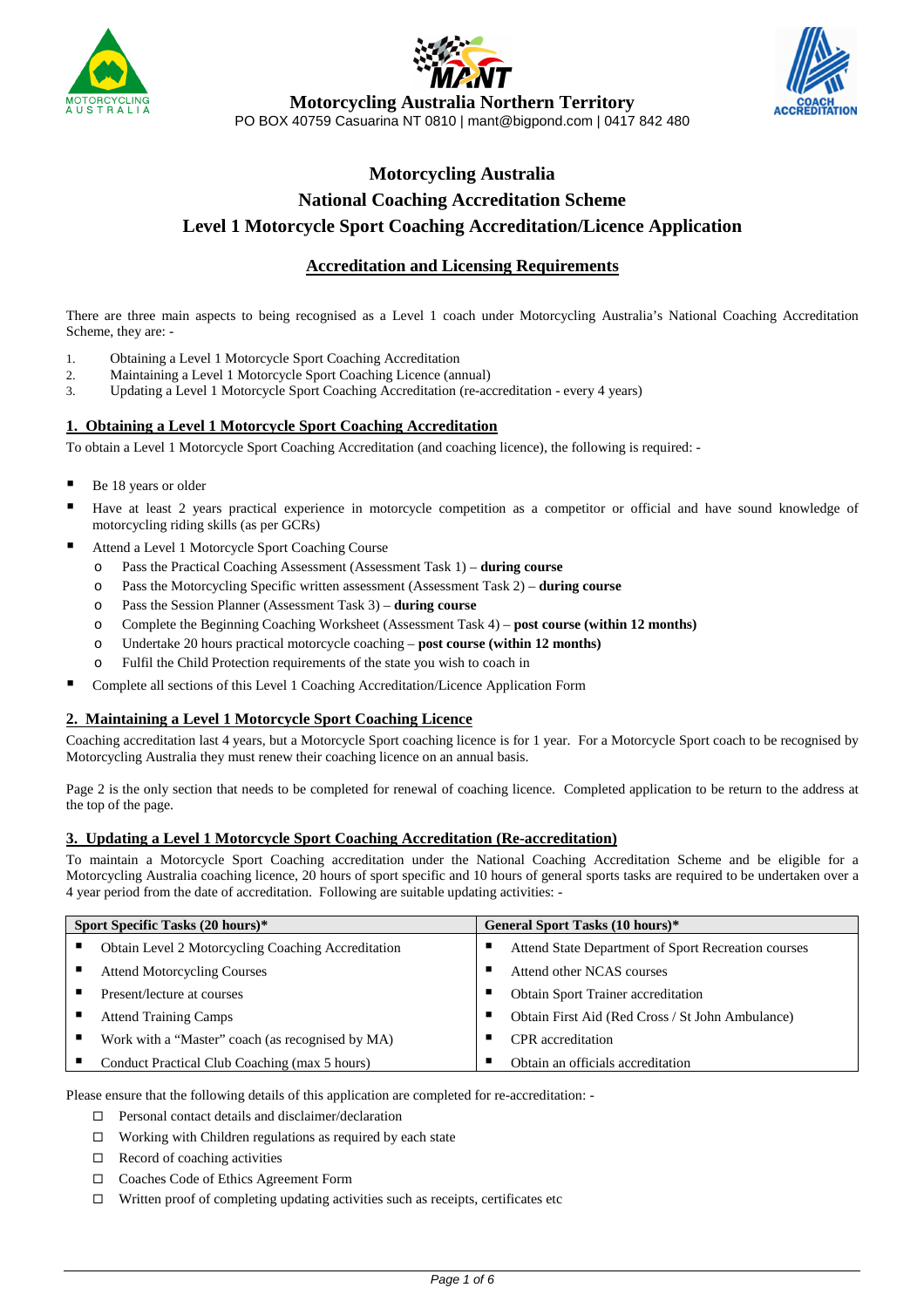





# **Motorcycling Australia Northern Territory**

PO BOX 40759 Casuarina NT 0810 | mant@bigpond.com | 0417 842 480

# **Motorcycling Australia National Coaching Accreditation Scheme Level 1 Motorcycle Sport Coaching Accreditation/Licence Application**

# **Accreditation and Licensing Requirements**

There are three main aspects to being recognised as a Level 1 coach under Motorcycling Australia's National Coaching Accreditation Scheme, they are: -

- 1. Obtaining a Level 1 Motorcycle Sport Coaching Accreditation
- 2. Maintaining a Level 1 Motorcycle Sport Coaching Licence (annual)
- 3. Updating a Level 1 Motorcycle Sport Coaching Accreditation (re-accreditation every 4 years)

### **1. Obtaining a Level 1 Motorcycle Sport Coaching Accreditation**

To obtain a Level 1 Motorcycle Sport Coaching Accreditation (and coaching licence), the following is required: -

- Be 18 years or older
- Have at least 2 years practical experience in motorcycle competition as a competitor or official and have sound knowledge of motorcycling riding skills (as per GCRs)
- Attend a Level 1 Motorcycle Sport Coaching Course
	- o Pass the Practical Coaching Assessment (Assessment Task 1) **during course**
	- o Pass the Motorcycling Specific written assessment (Assessment Task 2) **during course**
	- o Pass the Session Planner (Assessment Task 3) **during course**
	- o Complete the Beginning Coaching Worksheet (Assessment Task 4) **post course (within 12 months)**
	- o Undertake 20 hours practical motorcycle coaching **post course (within 12 months)**
	- o Fulfil the Child Protection requirements of the state you wish to coach in
- Complete all sections of this Level 1 Coaching Accreditation/Licence Application Form

### **2. Maintaining a Level 1 Motorcycle Sport Coaching Licence**

Coaching accreditation last 4 years, but a Motorcycle Sport coaching licence is for 1 year. For a Motorcycle Sport coach to be recognised by Motorcycling Australia they must renew their coaching licence on an annual basis.

Page 2 is the only section that needs to be completed for renewal of coaching licence. Completed application to be return to the address at the top of the page.

## **3. Updating a Level 1 Motorcycle Sport Coaching Accreditation (Re-accreditation)**

To maintain a Motorcycle Sport Coaching accreditation under the National Coaching Accreditation Scheme and be eligible for a Motorcycling Australia coaching licence, 20 hours of sport specific and 10 hours of general sports tasks are required to be undertaken over a 4 year period from the date of accreditation. Following are suitable updating activities: -

| Sport Specific Tasks (20 hours)* |                                                    | General Sport Tasks (10 hours)*                       |  |  |
|----------------------------------|----------------------------------------------------|-------------------------------------------------------|--|--|
|                                  | Obtain Level 2 Motorcycling Coaching Accreditation | Attend State Department of Sport Recreation courses   |  |  |
|                                  | <b>Attend Motorcycling Courses</b>                 | Attend other NCAS courses                             |  |  |
|                                  | Present/lecture at courses                         | Obtain Sport Trainer accreditation                    |  |  |
|                                  | <b>Attend Training Camps</b>                       | Obtain First Aid (Red Cross / St John Ambulance)<br>ш |  |  |
|                                  | Work with a "Master" coach (as recognised by MA)   | CPR accreditation                                     |  |  |
|                                  | Conduct Practical Club Coaching (max 5 hours)      | Obtain an officials accreditation                     |  |  |

Please ensure that the following details of this application are completed for re-accreditation: -

- □ Personal contact details and disclaimer/declaration
- □ Working with Children regulations as required by each state
- □ Record of coaching activities
- □ Coaches Code of Ethics Agreement Form
- □ Written proof of completing updating activities such as receipts, certificates etc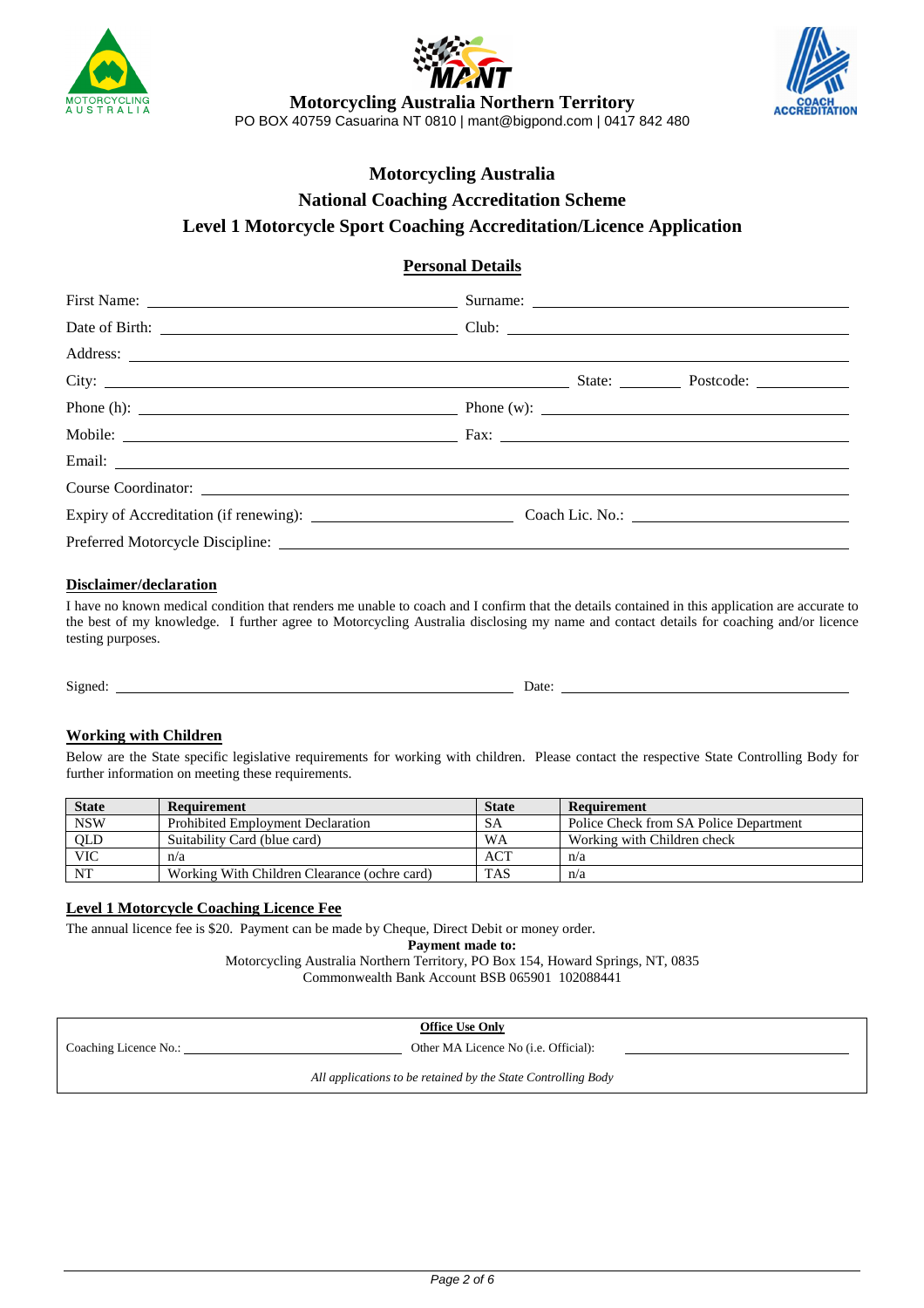



**Motorcycling Australia Northern Territory**  PO BOX 40759 Casuarina NT 0810 | mant@bigpond.com | 0417 842 480



# **Motorcycling Australia National Coaching Accreditation Scheme Level 1 Motorcycle Sport Coaching Accreditation/Licence Application**

# **Personal Details**

|  | Phone (h): $\qquad \qquad$ Phone (w): $\qquad \qquad$ Phone (w): $\qquad \qquad$ |  |  |  |
|--|----------------------------------------------------------------------------------|--|--|--|
|  |                                                                                  |  |  |  |
|  |                                                                                  |  |  |  |
|  |                                                                                  |  |  |  |
|  |                                                                                  |  |  |  |
|  |                                                                                  |  |  |  |
|  |                                                                                  |  |  |  |

# **Disclaimer/declaration**

I have no known medical condition that renders me unable to coach and I confirm that the details contained in this application are accurate to the best of my knowledge. I further agree to Motorcycling Australia disclosing my name and contact details for coaching and/or licence testing purposes.

Signed: Date: Date:

### **Working with Children**

Below are the State specific legislative requirements for working with children. Please contact the respective State Controlling Body for further information on meeting these requirements.

| <b>State</b> | Requirement                                  | <b>State</b> | Requirement                            |
|--------------|----------------------------------------------|--------------|----------------------------------------|
| <b>NSW</b>   | <b>Prohibited Employment Declaration</b>     | SА           | Police Check from SA Police Department |
| QLD<br>VIC   | Suitability Card (blue card)                 | WA           | Working with Children check            |
|              | n/a                                          | <b>ACT</b>   | n/a                                    |
| NT           | Working With Children Clearance (ochre card) | <b>TAS</b>   | n/a                                    |

### **Level 1 Motorcycle Coaching Licence Fee**

The annual licence fee is \$20. Payment can be made by Cheque, Direct Debit or money order.

**Payment made to:** 

Motorcycling Australia Northern Territory, PO Box 154, Howard Springs, NT, 0835 Commonwealth Bank Account BSB 065901 102088441

**Office Use Only** 

Coaching Licence No.: Other MA Licence No (i.e. Official):

*All applications to be retained by the State Controlling Body*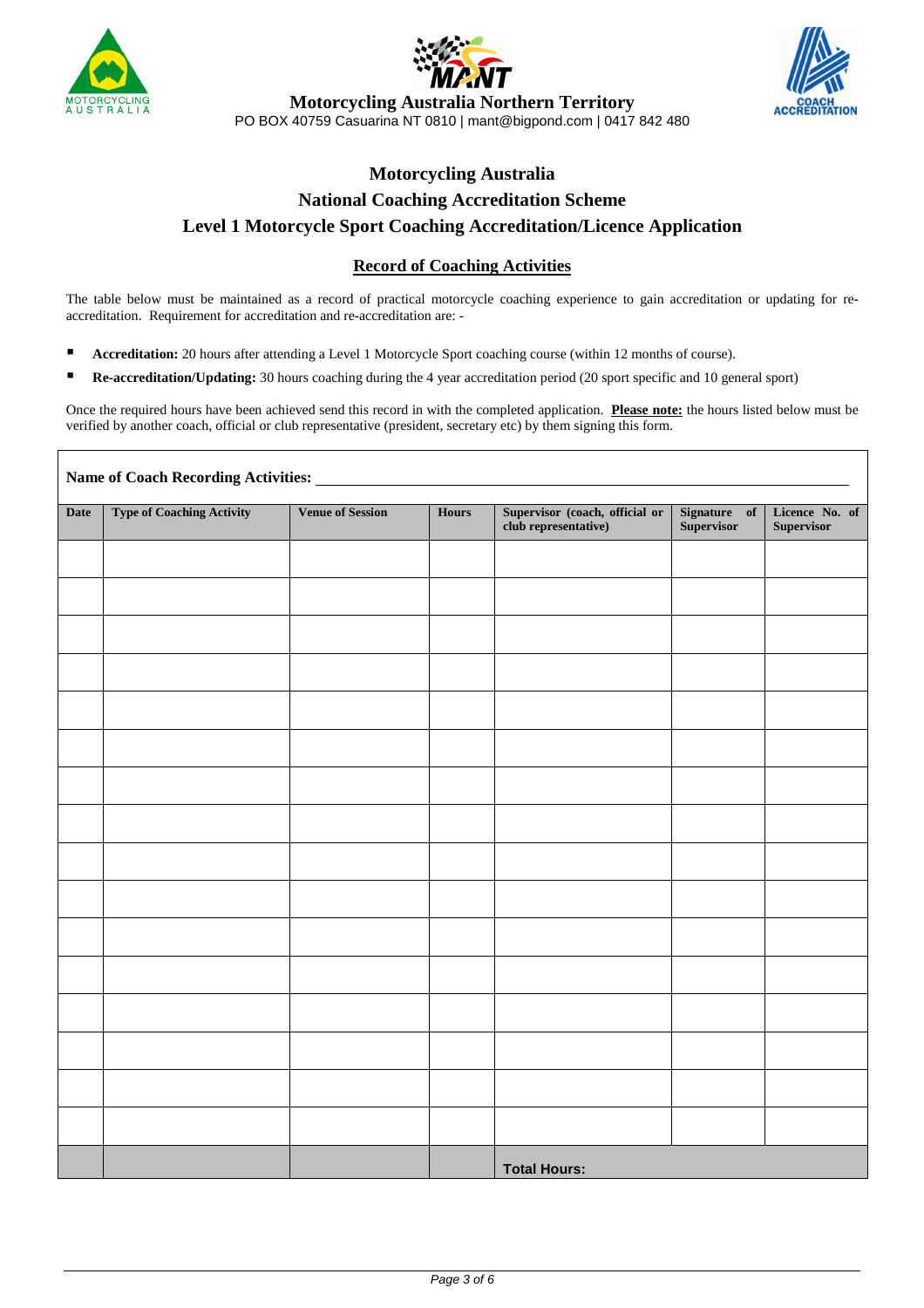

Г





**Motorcycling Australia Northern Territory**  PO BOX 40759 Casuarina NT 0810 | mant@bigpond.com | 0417 842 480

# **Motorcycling Australia National Coaching Accreditation Scheme Level 1 Motorcycle Sport Coaching Accreditation/Licence Application**

# **Record of Coaching Activities**

The table below must be maintained as a record of practical motorcycle coaching experience to gain accreditation or updating for reaccreditation. Requirement for accreditation and re-accreditation are: -

- **Accreditation:** 20 hours after attending a Level 1 Motorcycle Sport coaching course (within 12 months of course).
- **Re-accreditation/Updating:** 30 hours coaching during the 4 year accreditation period (20 sport specific and 10 general sport)

Once the required hours have been achieved send this record in with the completed application. **Please note:** the hours listed below must be verified by another coach, official or club representative (president, secretary etc) by them signing this form.

| <b>Date</b> | <b>Type of Coaching Activity</b> | <b>Venue of Session</b> | <b>Hours</b> | Supervisor (coach, official or<br>club representative) | Signature of<br>Supervisor | Licence No. of<br>Supervisor |
|-------------|----------------------------------|-------------------------|--------------|--------------------------------------------------------|----------------------------|------------------------------|
|             |                                  |                         |              |                                                        |                            |                              |
|             |                                  |                         |              |                                                        |                            |                              |
|             |                                  |                         |              |                                                        |                            |                              |
|             |                                  |                         |              |                                                        |                            |                              |
|             |                                  |                         |              |                                                        |                            |                              |
|             |                                  |                         |              |                                                        |                            |                              |
|             |                                  |                         |              |                                                        |                            |                              |
|             |                                  |                         |              |                                                        |                            |                              |
|             |                                  |                         |              |                                                        |                            |                              |
|             |                                  |                         |              |                                                        |                            |                              |
|             |                                  |                         |              |                                                        |                            |                              |
|             |                                  |                         |              |                                                        |                            |                              |
|             |                                  |                         |              |                                                        |                            |                              |
|             |                                  |                         |              |                                                        |                            |                              |
|             |                                  |                         |              |                                                        |                            |                              |
|             |                                  |                         |              |                                                        |                            |                              |
|             |                                  |                         |              | <b>Total Hours:</b>                                    |                            |                              |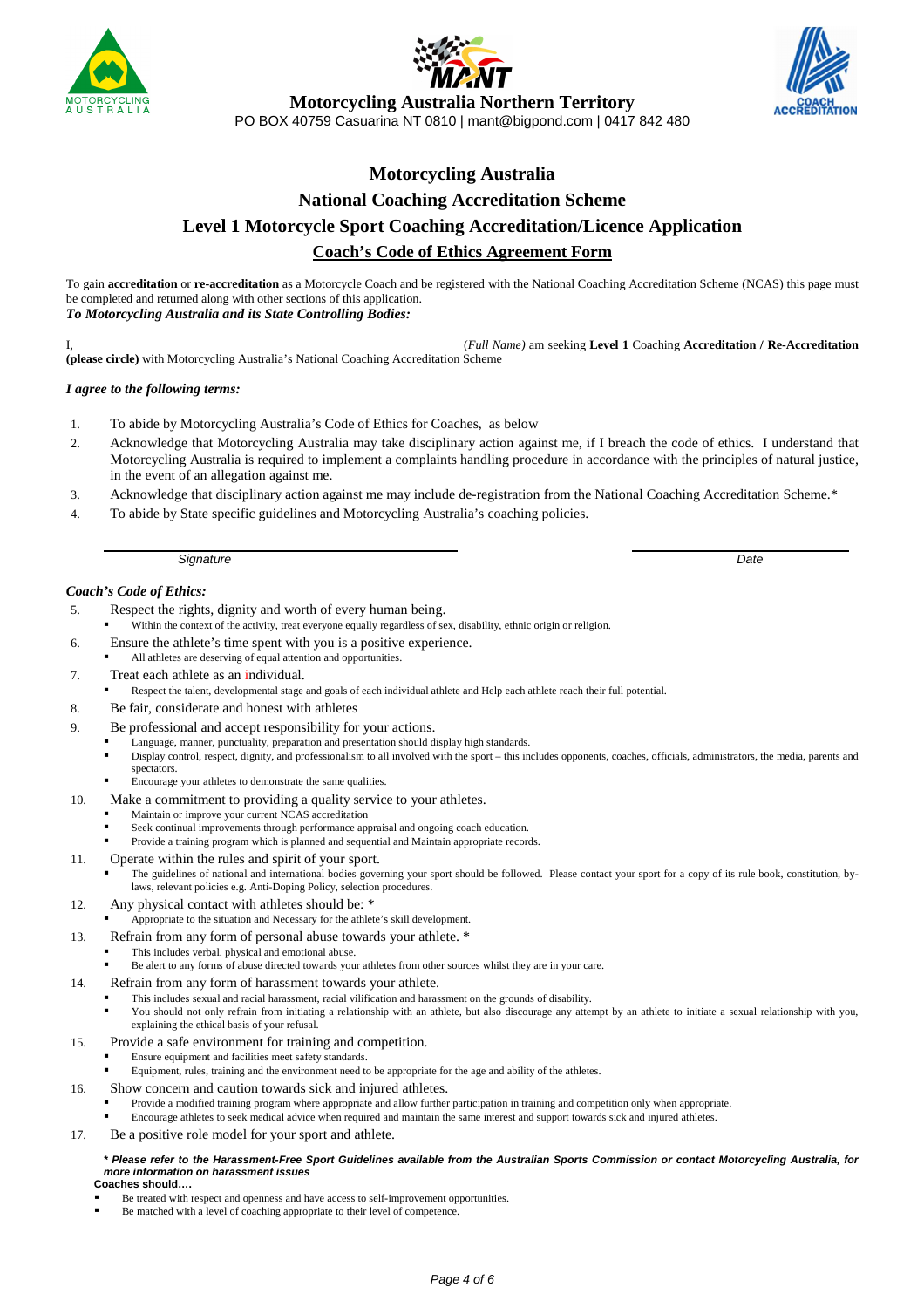





**Motorcycling Australia Northern Territory** 

PO BOX 40759 Casuarina NT 0810 | mant@bigpond.com | 0417 842 480

# **Motorcycling Australia National Coaching Accreditation Scheme Level 1 Motorcycle Sport Coaching Accreditation/Licence Application Coach's Code of Ethics Agreement Form**

To gain **accreditation** or **re-accreditation** as a Motorcycle Coach and be registered with the National Coaching Accreditation Scheme (NCAS) this page must be completed and returned along with other sections of this application. *To Motorcycling Australia and its State Controlling Bodies:* 

I, (*Full Name)* am seeking **Level 1** Coaching **Accreditation / Re-Accreditation (please circle)** with Motorcycling Australia's National Coaching Accreditation Scheme

#### *I agree to the following terms:*

- 1. To abide by Motorcycling Australia's Code of Ethics for Coaches, as below
- 2. Acknowledge that Motorcycling Australia may take disciplinary action against me, if I breach the code of ethics. I understand that Motorcycling Australia is required to implement a complaints handling procedure in accordance with the principles of natural justice, in the event of an allegation against me.
- 3. Acknowledge that disciplinary action against me may include de-registration from the National Coaching Accreditation Scheme.\*
- 4. To abide by State specific guidelines and Motorcycling Australia's coaching policies.

Signature **Date** 

#### *Coach's Code of Ethics:*

l

- 5. Respect the rights, dignity and worth of every human being.
- Within the context of the activity, treat everyone equally regardless of sex, disability, ethnic origin or religion.
- 6. Ensure the athlete's time spent with you is a positive experience.
	- All athletes are deserving of equal attention and opportunities.
- 7. Treat each athlete as an individual.
	- Respect the talent, developmental stage and goals of each individual athlete and Help each athlete reach their full potential.
- 8. Be fair, considerate and honest with athletes
- 9. Be professional and accept responsibility for your actions.
	- Language, manner, punctuality, preparation and presentation should display high standards.
	- Display control, respect, dignity, and professionalism to all involved with the sport this includes opponents, coaches, officials, administrators, the media, parents and spectators.
		- Encourage your athletes to demonstrate the same qualities.
- 10. Make a commitment to providing a quality service to your athletes.
	- Maintain or improve your current NCAS accreditation
	- Seek continual improvements through performance appraisal and ongoing coach education.
	- Provide a training program which is planned and sequential and Maintain appropriate records.
- 11. Operate within the rules and spirit of your sport.
	- The guidelines of national and international bodies governing your sport should be followed. Please contact your sport for a copy of its rule book, constitution, bylaws, relevant policies e.g. Anti-Doping Policy, selection procedures.
- 12. Any physical contact with athletes should be: \*
- Appropriate to the situation and Necessary for the athlete's skill development.
- 13. Refrain from any form of personal abuse towards your athlete. \*
	- This includes verbal, physical and emotional abuse.
	- Be alert to any forms of abuse directed towards your athletes from other sources whilst they are in your care.
- 14. Refrain from any form of harassment towards your athlete.
	- This includes sexual and racial harassment, racial vilification and harassment on the grounds of disability.
		- You should not only refrain from initiating a relationship with an athlete, but also discourage any attempt by an athlete to initiate a sexual relationship with you, explaining the ethical basis of your refusal.
- 15. Provide a safe environment for training and competition.
	- Ensure equipment and facilities meet safety standards.
	- Equipment, rules, training and the environment need to be appropriate for the age and ability of the athletes.
- 16. Show concern and caution towards sick and injured athletes.
	- Provide a modified training program where appropriate and allow further participation in training and competition only when appropriate.
	- Encourage athletes to seek medical advice when required and maintain the same interest and support towards sick and injured athletes.
- 17. Be a positive role model for your sport and athlete.

#### **\* Please refer to the Harassment-Free Sport Guidelines available from the Australian Sports Commission or contact Motorcycling Australia, for more information on harassment issues**

**Coaches should….** 

- Be treated with respect and openness and have access to self-improvement opportunities.
- Be matched with a level of coaching appropriate to their level of competence.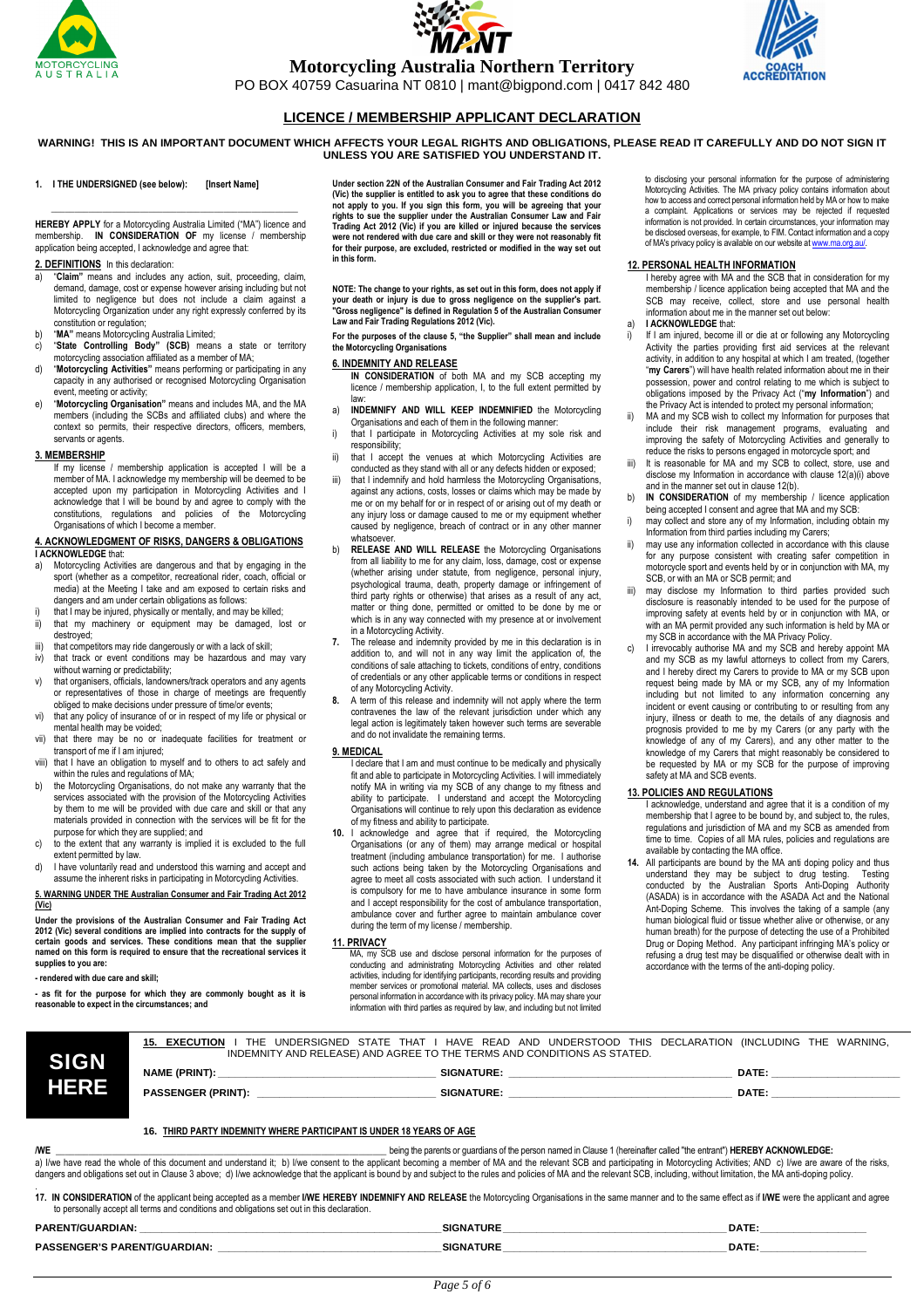





**Motorcycling Australia Northern Territory** 

PO BOX 40759 Casuarina NT 0810 | mant@bigpond.com | 0417 842 480

### **LICENCE / MEMBERSHIP APPLICANT DECLARATION**

**WARNING! THIS IS AN IMPORTANT DOCUMENT WHICH AFFECTS YOUR LEGAL RIGHTS AND OBLIGATIONS, PLEASE READ IT CAREFULLY AND DO NOT SIGN IT UNLESS YOU ARE SATISFIED YOU UNDERSTAND IT.** 

#### **1. I THE UNDERSIGNED (see below): [Insert Name]**

**HEREBY APPLY** for a Motorcycling Australia Limited ("MA") licence and membership. **IN CONSIDERATION OF** my license / membership application being accepted, I acknowledge and agree that:

 **\_\_\_\_\_\_\_\_\_\_\_\_\_\_\_\_\_\_\_\_\_\_\_\_\_\_\_\_\_\_\_\_\_\_\_\_\_\_\_\_\_\_\_\_\_\_\_\_\_\_\_\_\_** 

#### **2. DEFINITIONS** In this declaration:

- a) "**Claim"** means and includes any action, suit, proceeding, claim, demand, damage, cost or expense however arising including but not limited to negligence but does not include a claim against a Motorcycling Organization under any right expressly conferred by its constitution or regulation;
- 
- b) **"MA"** means Motorcycling Australia Limited;<br>c) **"State Controlling Body" (SCB)** means a state or territory<br>motorcycling association affiliated as a member of MA;
- d) "**Motorcycling Activities"** means performing or participating in any capacity in any authorised or recognised Motorcycling Organisation event, meeting or activity;
- e) "**Motorcycling Organisation"** means and includes MA, and the MA members (including the SCBs and affiliated clubs) and where the context so permits, their respective directors, officers, members, servants or agents.

**3. MEMBERSHIP**  If my license / membership application is accepted I will be a member of MA. I acknowledge my membership will be deemed to be accepted upon my participation in Motorcycling Activities and I acknowledge that I will be bound by and agree to comply with the constitutions, regulations and policies of the Motorcycling Organisations of which I become a member

# **4. ACKNOWLEDGMENT OF RISKS, DANGERS & OBLIGATIONS**

- **I ACKNOWLEDGE** that:<br>a) Motorcycling Activi Motorcycling Activities are dangerous and that by engaging in the sport (whether as a competitor, recreational rider, coach, official or media) at the Meeting I take and am exposed to certain risks and dangers and am under certain obligations as follows:
- i) that I may be injured, physically or mentally, and may be killed;<br>ii) that my machinery or equipment may be damaged. It that my machinery or equipment may be damaged, lost or destroyed;
- iii) that competitors may ride dangerously or with a lack of skill;<br>iv) that track or event conditions may be hazardous and r
- that track or event conditions may be hazardous and may vary
- without warning or predictability;<br>v) that organisers, officials, landowners/track operators and any agents or representatives of those in charge of meetings are frequently obliged to make decisions under pressure of time/or events;
- vi) that any policy of insurance of or in respect of my life or physical or mental health may be voided;
- vii) that there may be no or inadequate facilities for treatment or transport of me if I am injured;
- viii) that I have an obligation to myself and to others to act safely and within the rules and regulations of MA;
- b) the Motorcycling Organisations, do not make any warranty that the services associated with the provision of the Motorcycling Activities by them to me will be provided with due care and skill or that any materials provided in connection with the services will be fit for the purpose for which they are supplied; and
- c) to the extent that any warranty is implied it is excluded to the full extent permitted by law.
- d) I have voluntarily read and understood this warning and accept and assume the inherent risks in participating in Motorcycling Activities.

#### **5. WARNING UNDER THE Australian Consumer and Fair Trading Act 2012 (Vic)**

**Under the provisions of the Australian Consumer and Fair Trading Act 2012 (Vic) several conditions are implied into contracts for the supply of certain goods and services. These conditions mean that the supplier named on this form is required to ensure that the recreational services it supplies to you are:** 

**- rendered with due care and skill;** 

**- as fit for the purpose for which they are commonly bought as it is reasonable to expect in the circumstances; and** 

**Under section 22N of the Australian Consumer and Fair Trading Act 2012 (Vic) the supplier is entitled to ask you to agree that these conditions do not apply to you. If you sign this form, you will be agreeing that your rights to sue the supplier under the Australian Consumer Law and Fair Trading Act 2012 (Vic) if you are killed or injured because the services were not rendered with due care and skill or they were not reasonably fit for their purpose, are excluded, restricted or modified in the way set out in this form.** 

**NOTE: The change to your rights, as set out in this form, does not apply if your death or injury is due to gross negligence on the supplier's part. "Gross negligence" is defined in Regulation 5 of the Australian Consumer Law and Fair Trading Regulations 2012 (Vic).** 

**For the purposes of the clause 5, "the Supplier" shall mean and include the Motorcycling Organisations** 

#### **6. INDEMNITY AND RELEASE**

**IN CONSIDERATION** of both MA and my SCB accepting my licence / membership application, I, to the full extent permitted by

- law: a) **INDEMNIFY AND WILL KEEP INDEMNIFIED** the Motorcycling
- Organisations and each of them in the following manner: i) that I participate in Motorcycling Activities at my sole risk and responsibility;
- ii) that I accept the venues at which Motorcycling Activities are conducted as they stand with all or any defects hidden or exposed;
- iii) that I indemnify and hold harmless the Motorcycling Organisations, against any actions, costs, losses or claims which may be made by me or on my behalf for or in respect of or arising out of my death or any injury loss or damage caused to me or my equipment whether caused by negligence, breach of contract or in any other manner whatsoever.
- b) **RELEASE AND WILL RELEASE** the Motorcycling Organisations from all liability to me for any claim, loss, damage, cost or expense (whether arising under statute, from negligence, personal injury, psychological trauma, death, property damage or infringement of third party rights or otherwise) that arises as a result of any act, matter or thing done, permitted or omitted to be done by me or which is in any way connected with my presence at or involvement
- in a Motorcycling Activity. **7.** The release and indemnity provided by me in this declaration is in addition to, and will not in any way limit the application of, the conditions of sale attaching to tickets, conditions of entry, conditions of credentials or any other applicable terms or conditions in respect of any Motorcycling Activity.
- **8.** A term of this release and indemnity will not apply where the term contravenes the law of the relevant jurisdiction under which any legal action is legitimately taken however such terms are severable and do not invalidate the remaining terms.

#### **9. MEDICAL**

 I declare that I am and must continue to be medically and physically fit and able to participate in Motorcycling Activities. I will immediately notify MA in writing via my SCB of any change to my fitness and ability to participate. I understand and accept the Motorcycling Organisations will continue to rely upon this declaration as evidence of my fitness and ability to participate.

**10.** I acknowledge and agree that if required, the Motorcycling Organisations (or any of them) may arrange medical or hospital treatment (including ambulance transportation) for me. I authorise such actions being taken by the Motorcycling Organisations and agree to meet all costs associated with such action. I understand it is compulsory for me to have ambulance insurance in some form and I accept responsibility for the cost of ambulance transportation, ambulance cover and further agree to maintain ambulance cover during the term of my license / membership.

#### **11. PRIVACY**

MA, my SCB use and disclose personal information for the purposes of<br>conducting and administrating Motorcycling Activities and other related<br>activities, including for identifying participants, recording results and providi personal information in accordance with its privacy policy. MA may share your information with third parties as required by law, and including but not limited to disclosing your personal information for the purpose of administering Motorcycling Activities. The MA privacy policy contains information about how to access and correct personal information held by MA or how to make a complaint. Applications or services may be rejected if requested information is not provided. In certain circumstances, your information may be disclosed overseas, for example, to FIM. Contact information and a copy of MA's privacy policy is available on our website at www.ma.org.au/.

#### **12. PERSONAL HEALTH INFORMATION**

 I hereby agree with MA and the SCB that in consideration for my membership / licence application being accepted that MA and the SCB may receive, collect, store and use personal health information about me in the manner set out below:

- a) **I ACKNOWLEDGE** that:
- i) If I am injured, become ill or die at or following any Motorcycling Activity the parties providing first aid services at the relevant activity, in addition to any hospital at which I am treated, (together "**my Carers**") will have health related information about me in their possession, power and control relating to me which is subject to obligations imposed by the Privacy Act ("**my Information**") and the Privacy Act is intended to protect my personal information;
- MA and my SCB wish to collect my Information for purposes that include their risk management programs, evaluating and improving the safety of Motorcycling Activities and generally to reduce the risks to persons engaged in motorcycle sport; and iii) It is reasonable for MA and my SCB to collect, store, use and
- disclose my Information in accordance with clause 12(a)(i) above and in the manner set out in clause 12(b).
- b) **IN CONSIDERATION** of my membership / licence application being accepted I consent and agree that MA and my SCB:
- i) may collect and store any of my Information, including obtain my Information from third parties including my Carers;
- may use any information collected in accordance with this clause for any purpose consistent with creating safer competition in motorcycle sport and events held by or in conjunction with MA, my SCB, or with an MA or SCB permit; and
- iii) may disclose my Information to third parties provided such disclosure is reasonably intended to be used for the purpose of improving safety at events held by or in conjunction with MA, or with an MA permit provided any such information is held by MA or my SCB in accordance with the MA Privacy Policy.
- I irrevocably authorise MA and my SCB and hereby appoint MA and my SCB as my lawful attorneys to collect from my Carers, and I hereby direct my Carers to provide to MA or my SCB upon request being made by MA or my SCB, any of my Information including but not limited to any information concerning any incident or event causing or contributing to or resulting from any injury, illness or death to me, the details of any diagnosis and prognosis provided to me by my Carers (or any party with the knowledge of any of my Carers), and any other matter to the knowledge of my Carers that might reasonably be considered to be requested by MA or my SCB for the purpose of improving safety at MA and SCB events.

#### **13. POLICIES AND REGULATIONS**

 I acknowledge, understand and agree that it is a condition of my membership that I agree to be bound by, and subject to, the rules, regulations and jurisdiction of MA and my SCB as amended from time to time. Copies of all MA rules, policies and regulations are available by contacting the MA office.

All participants are bound by the MA anti doping policy and thus understand they may be subject to drug testing. Testing understand they may be subject to drug testing. Testing conducted by the Australian Sports Anti-Doping Authority (ASADA) is in accordance with the ASADA Act and the National Ant-Doping Scheme. This involves the taking of a sample (any human biological fluid or tissue whether alive or otherwise, or any human breath) for the purpose of detecting the use of a Prohibited Drug or Doping Method. Any participant infringing MA's policy or refusing a drug test may be disqualified or otherwise dealt with in accordance with the terms of the anti-doping policy.

**15. EXECUTION** I THE UNDERSIGNED STATE THAT I HAVE READ AND UNDERSTOOD THIS DECLARATION (INCLUDING THE WARNING, INDEMNITY AND RELEASE) AND AGREE TO THE TERMS AND CONDITIONS AS STATED.

| <b>SIGN</b> | INDEMNITY AND RELEASE) AND AGREE TO THE TERMS AND CONDITIONS AS STATED. |                   |             |  |
|-------------|-------------------------------------------------------------------------|-------------------|-------------|--|
|             | <b>NAME (PRINT):</b>                                                    | <b>SIGNATURE:</b> | <b>DATE</b> |  |
| HERE        | <b>PASSENGER (PRINT):</b>                                               | <b>SIGNATURE:</b> | <b>DATE</b> |  |
|             |                                                                         |                   |             |  |

#### **16. THIRD PARTY INDEMNITY WHERE PARTICIPANT IS UNDER 18 YEARS OF AGE**

**/WE \_\_\_\_\_\_\_\_\_\_\_\_\_\_\_\_\_\_\_\_\_\_\_\_\_\_\_\_\_\_\_\_\_\_\_\_\_\_\_\_\_\_\_\_\_\_\_\_\_\_\_\_\_\_\_\_\_\_\_\_\_\_\_\_\_\_\_\_\_\_\_** being the parents or guardians of the person named in Clause 1 (hereinafter called "the entrant") **HEREBY ACKNOWLEDGE:**  a) I/we have read the whole of this document and understand it; b) I/we consent to the applicant becoming a member of MA and the relevant SCB and participating in Motorcycling Activities; AND c) I/we are aware of the risks dingers and obligations set out in Clause 3 above; d) live acknowledge that the applicant is bound by and subject to the rules and policies of MA and the relevant SCB, including, without limitation, the MA anti-doping poli

.<br>17. IN CONSIDERATION of the applicant being accepted as a member IWE HEREBY INDEMNIFY AND RELEASE the Motorcycling Organisations in the same manner and to the same effect as if IWE were the applicant and agree<br>to persona

| <b>MGUARDIAN:</b><br><b>PAREM</b> | <b>SIGNATURE</b> | DATE:       |
|-----------------------------------|------------------|-------------|
| PASS.<br>`UARDIAN.                | <b>SIGNATURE</b> | <b>DATE</b> |